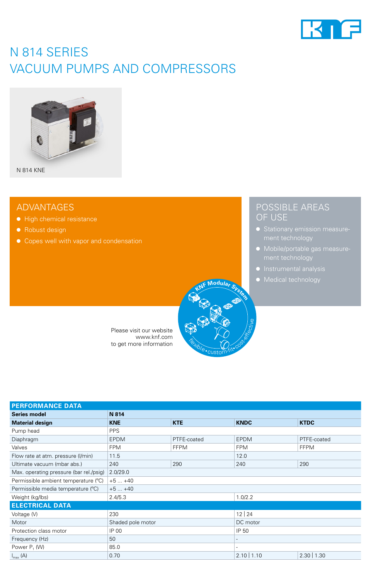

# N 814 SERIES VACUUM PUMPS AND COMPRESSORS



N 814 KNE

## ADVANTAGES

- High chemical resistance
- Robust design
- Copes well with vapor and condensation



Please visit our website www.knf.com to get more information

| <b>PERFORMANCE DATA</b>                 |                   |             |               |               |
|-----------------------------------------|-------------------|-------------|---------------|---------------|
| <b>Series model</b>                     | N 814             |             |               |               |
| <b>Material design</b>                  | <b>KNE</b>        | <b>KTE</b>  | <b>KNDC</b>   | <b>KTDC</b>   |
| Pump head                               | <b>PPS</b>        |             |               |               |
| Diaphragm                               | <b>EPDM</b>       | PTFE-coated | <b>EPDM</b>   | PTFE-coated   |
| Valves                                  | <b>FPM</b>        | <b>FFPM</b> | <b>FPM</b>    | <b>FFPM</b>   |
| Flow rate at atm. pressure (I/min)      | 11.5              |             | 12.0          |               |
| Ultimate vacuum (mbar abs.)             | 240               | 290         | 240           | 290           |
| Max. operating pressure (bar rel./psig) | 2.0/29.0          |             |               |               |
| Permissible ambient temperature (°C)    | $+5+40$           |             |               |               |
| Permissible media temperature (°C)      | $+5+40$           |             |               |               |
| Weight (kg/lbs)                         | 2.4/5.3           |             | 1.0/2.2       |               |
| <b>ELECTRICAL DATA</b>                  |                   |             |               |               |
| Voltage (V)                             | 230               |             | 12 24         |               |
| Motor                                   | Shaded pole motor |             | DC motor      |               |
| Protection class motor                  | IP 00             |             | IP 50         |               |
| Frequency (Hz)                          | 50                |             |               |               |
| Power P <sub>1</sub> (W)                | 85.0              |             |               |               |
| $I_{\text{max}}(A)$                     | 0.70              |             | $2.10$   1.10 | $2.30$   1.30 |

## POSSIBLE AREAS OF USE

- ment technology
- Mobile/portable gas measurement technology
- Instrumental analysis
- Medical technology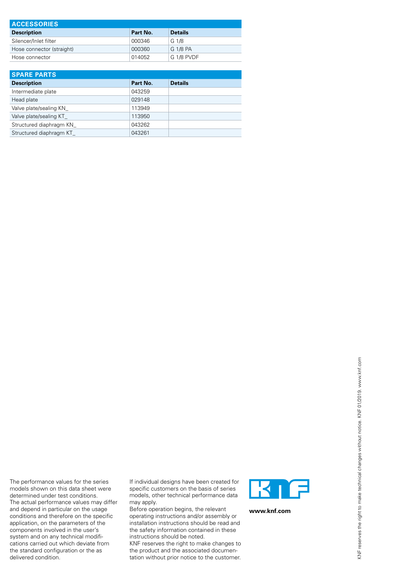| <b>ACCESSORIES</b>        |          |                |  |
|---------------------------|----------|----------------|--|
| <b>Description</b>        | Part No. | <b>Details</b> |  |
| Silencer/Inlet filter     | 000346   | G 1/8          |  |
| Hose connector (straight) | 000360   | G 1/8 PA       |  |
| Hose connector            | 014052   | G 1/8 PVDF     |  |

| <b>SPARE PARTS</b>      |          |                |  |
|-------------------------|----------|----------------|--|
| <b>Description</b>      | Part No. | <b>Details</b> |  |
| Intermediate plate      | 043259   |                |  |
| Head plate              | 029148   |                |  |
| Valve plate/sealing KN  | 113949   |                |  |
| Valve plate/sealing KT  | 113950   |                |  |
| Structured diaphragm KN | 043262   |                |  |
| Structured diaphragm KT | 043261   |                |  |

The performance values for the series models shown on this data sheet were determined under test conditions. The actual performance values may differ and depend in particular on the usage conditions and therefore on the specific application, on the parameters of the components involved in the user's system and on any technical modifications carried out which deviate from the standard configuration or the as delivered condition.

If individual designs have been created for specific customers on the basis of series models, other technical performance data may apply.

Before operation begins, the relevant operating instructions and/or assembly or installation instructions should be read and the safety information contained in these instructions should be noted.

KNF reserves the right to make changes to the product and the associated documentation without prior notice to the customer.



**www.knf.com**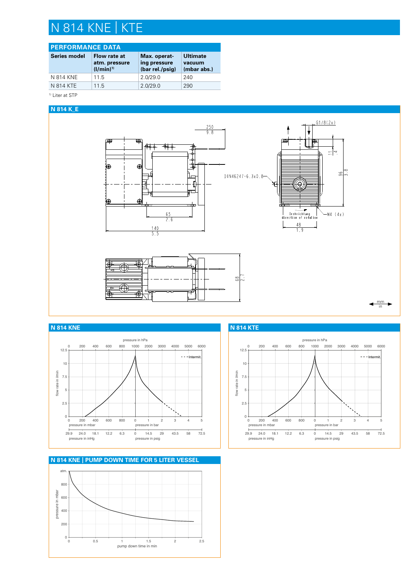# N 814 KNE | KTE

### **PERFORMANCE DATA**

| Series model | Flow rate at<br>atm. pressure<br>$(1/min)^{1}$ | Max. operat-<br>ing pressure<br>(bar rel./psig) | <b>Ultimate</b><br>vacuum<br>(mbar abs.) |
|--------------|------------------------------------------------|-------------------------------------------------|------------------------------------------|
| N 814 KNE    | 11.5                                           | 2.0/29.0                                        | 240                                      |
| N 814 KTE    | 115                                            | 2.0/29.0                                        | 290                                      |

<sup>1)</sup> Liter at STP

### **N 814 K\_E**





**N 814 KNE | PUMP DOWN TIME FOR 5 LITER VESSEL**